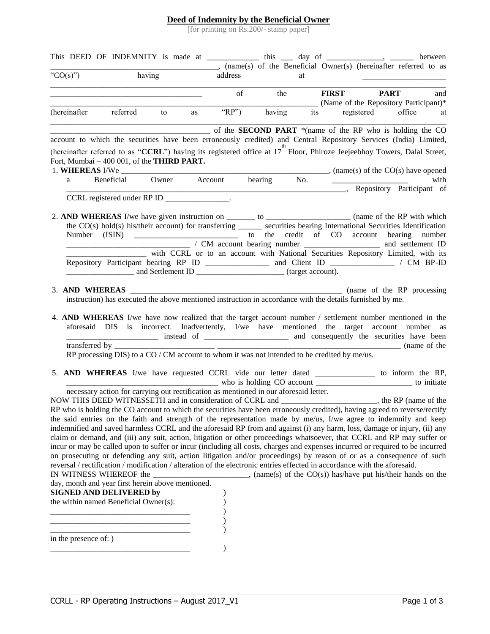## **Deed of Indemnity by the Beneficial Owner**

[for printing on Rs.200/- stamp paper]

|                       |                                                                                                                           |  |         |                  |    | This DEED OF INDEMNITY is made at _______________ this _____ day of ____________, _______ between<br>(name(s) of the Beneficial Owner(s) (hereinafter referred to as                                                                                |
|-----------------------|---------------------------------------------------------------------------------------------------------------------------|--|---------|------------------|----|-----------------------------------------------------------------------------------------------------------------------------------------------------------------------------------------------------------------------------------------------------|
| " $CO(s)$ ")          | having                                                                                                                    |  | address |                  | at |                                                                                                                                                                                                                                                     |
|                       |                                                                                                                           |  |         | $\circ$ f<br>the |    | <b>FIRST PART</b><br>and<br>(Name of the Repository Participant)*                                                                                                                                                                                   |
|                       | (hereinafter referred to as "RP") having                                                                                  |  |         |                  |    | its registered office at                                                                                                                                                                                                                            |
|                       |                                                                                                                           |  |         |                  |    | of the SECOND PART *(name of the RP who is holding the CO<br>account to which the securities have been erroneously credited) and Central Repository Services (India) Limited,                                                                       |
|                       |                                                                                                                           |  |         |                  |    | (hereinafter referred to as "CCRL") having its registered office at 17 <sup>th</sup> Floor, Phiroze Jeejeebhoy Towers, Dalal Street,                                                                                                                |
|                       | Fort, Mumbai - 400 001, of the THIRD PART.                                                                                |  |         |                  |    |                                                                                                                                                                                                                                                     |
|                       |                                                                                                                           |  |         |                  |    |                                                                                                                                                                                                                                                     |
|                       |                                                                                                                           |  |         |                  |    | Repository Participant of                                                                                                                                                                                                                           |
|                       | CCRL registered under RP ID _______________.                                                                              |  |         |                  |    |                                                                                                                                                                                                                                                     |
|                       |                                                                                                                           |  |         |                  |    |                                                                                                                                                                                                                                                     |
|                       |                                                                                                                           |  |         |                  |    | 2. AND WHEREAS I/we have given instruction on _______ to ____________________ (name of the RP with which                                                                                                                                            |
|                       |                                                                                                                           |  |         |                  |    | the CO(s) hold(s) his/their account) for transferring _______ securities bearing International Securities Identification                                                                                                                            |
|                       |                                                                                                                           |  |         |                  |    | / CM account bearing number ________________ and settlement ID                                                                                                                                                                                      |
|                       |                                                                                                                           |  |         |                  |    | with CCRL or to an account with National Securities Repository Limited, with its                                                                                                                                                                    |
|                       |                                                                                                                           |  |         |                  |    |                                                                                                                                                                                                                                                     |
|                       |                                                                                                                           |  |         |                  |    |                                                                                                                                                                                                                                                     |
|                       |                                                                                                                           |  |         |                  |    |                                                                                                                                                                                                                                                     |
|                       | instruction) has executed the above mentioned instruction in accordance with the details furnished by me.                 |  |         |                  |    |                                                                                                                                                                                                                                                     |
|                       |                                                                                                                           |  |         |                  |    |                                                                                                                                                                                                                                                     |
|                       |                                                                                                                           |  |         |                  |    | 4. AND WHEREAS I/we have now realized that the target account number / settlement number mentioned in the                                                                                                                                           |
|                       |                                                                                                                           |  |         |                  |    | aforesaid DIS is incorrect. Inadvertently, I/we have mentioned the target account number as                                                                                                                                                         |
|                       |                                                                                                                           |  |         |                  |    |                                                                                                                                                                                                                                                     |
|                       | transferred by $\frac{1}{2}$ RP processing DIS) to a CO / CM account to whom it was not intended to be credited by me/us. |  |         |                  |    |                                                                                                                                                                                                                                                     |
|                       |                                                                                                                           |  |         |                  |    |                                                                                                                                                                                                                                                     |
|                       |                                                                                                                           |  |         |                  |    | 5. AND WHEREAS I/we have requested CCRL vide our letter dated to inform the RP,                                                                                                                                                                     |
|                       |                                                                                                                           |  |         |                  |    |                                                                                                                                                                                                                                                     |
|                       | necessary action for carrying out rectification as mentioned in our aforesaid letter.                                     |  |         |                  |    |                                                                                                                                                                                                                                                     |
|                       |                                                                                                                           |  |         |                  |    | NOW THIS DEED WITNESSETH and in consideration of CCRL and ____________________, the RP (name of the RP who is holding the CO account to which the securities have been erroneously credited), having agreed to reverse/rectify                      |
|                       |                                                                                                                           |  |         |                  |    |                                                                                                                                                                                                                                                     |
|                       |                                                                                                                           |  |         |                  |    | the said entries on the faith and strength of the representation made by me/us, I/we agree to indemnify and keep                                                                                                                                    |
|                       |                                                                                                                           |  |         |                  |    | indemnified and saved harmless CCRL and the aforesaid RP from and against (i) any harm, loss, damage or injury, (ii) any<br>claim or demand, and (iii) any suit, action, litigation or other proceedings whatsoever, that CCRL and RP may suffer or |
|                       |                                                                                                                           |  |         |                  |    | incur or may be called upon to suffer or incur (including all costs, charges and expenses incurred or required to be incurred                                                                                                                       |
|                       |                                                                                                                           |  |         |                  |    | on prosecuting or defending any suit, action litigation and/or proceedings) by reason of or as a consequence of such                                                                                                                                |
|                       | reversal / rectification / modification / alteration of the electronic entries effected in accordance with the aforesaid. |  |         |                  |    |                                                                                                                                                                                                                                                     |
|                       | IN WITNESS WHEREOF the                                                                                                    |  |         |                  |    | $\ldots$ , (name(s) of the CO(s)) has/have put his/their hands on the                                                                                                                                                                               |
|                       | day, month and year first herein above mentioned.                                                                         |  |         |                  |    |                                                                                                                                                                                                                                                     |
|                       | <b>SIGNED AND DELIVERED by</b>                                                                                            |  |         |                  |    |                                                                                                                                                                                                                                                     |
|                       | the within named Beneficial Owner(s):                                                                                     |  |         |                  |    |                                                                                                                                                                                                                                                     |
|                       |                                                                                                                           |  |         |                  |    |                                                                                                                                                                                                                                                     |
|                       |                                                                                                                           |  |         |                  |    |                                                                                                                                                                                                                                                     |
| in the presence of: ) |                                                                                                                           |  |         |                  |    |                                                                                                                                                                                                                                                     |
|                       |                                                                                                                           |  |         |                  |    |                                                                                                                                                                                                                                                     |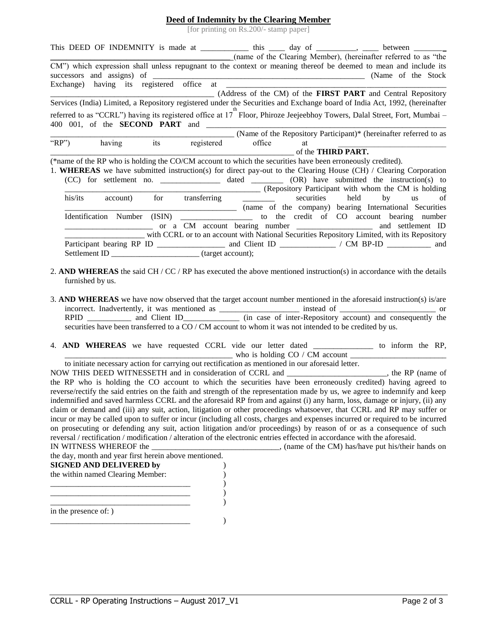## **Deed of Indemnity by the Clearing Member**

[for printing on Rs.200/- stamp paper]

|                                                                                                                            |                                             |    | (name of the Clearing Member), (hereinafter referred to as "the                             |
|----------------------------------------------------------------------------------------------------------------------------|---------------------------------------------|----|---------------------------------------------------------------------------------------------|
| CM") which expression shall unless repugnant to the context or meaning thereof be deemed to mean and include its           |                                             |    |                                                                                             |
| (Address of the CM) of the <b>FIRST PART</b> and Central Repository                                                        |                                             |    |                                                                                             |
| Services (India) Limited, a Repository registered under the Securities and Exchange board of India Act, 1992, (hereinafter |                                             |    |                                                                                             |
| referred to as "CCRL") having its registered office at 17 Floor, Phiroze Jeejeebhoy Towers, Dalal Street, Fort, Mumbai –   |                                             |    |                                                                                             |
|                                                                                                                            |                                             |    | (Name of the Repository Participant)* (hereinafter referred to as                           |
| having its registered office<br>" $RP$ ")                                                                                  |                                             | at |                                                                                             |
|                                                                                                                            | $\overline{\phantom{a}}$ of the THIRD PART. |    |                                                                                             |
| (*name of the RP who is holding the CO/CM account to which the securities have been erroneously credited).                 |                                             |    |                                                                                             |
| 1. WHEREAS we have submitted instruction(s) for direct pay-out to the Clearing House (CH) / Clearing Corporation           |                                             |    |                                                                                             |
|                                                                                                                            |                                             |    |                                                                                             |
|                                                                                                                            |                                             |    | (Repository Participant with whom the CM is holding                                         |
| his/its<br>account)                                                                                                        |                                             |    | for transferring _______ securities held by us of                                           |
|                                                                                                                            |                                             |    | (name of the company) bearing International Securities                                      |
|                                                                                                                            |                                             |    |                                                                                             |
|                                                                                                                            |                                             |    |                                                                                             |
|                                                                                                                            |                                             |    | with CCRL or to an account with National Securities Repository Limited, with its Repository |
|                                                                                                                            |                                             |    |                                                                                             |
| Settlement ID ______________________________(target account);                                                              |                                             |    |                                                                                             |

- 2. **AND WHEREAS** the said CH / CC / RP has executed the above mentioned instruction(s) in accordance with the details furnished by us.
- 3. **AND WHEREAS** we have now observed that the target account number mentioned in the aforesaid instruction(s) is/are incorrect. Inadvertently, it was mentioned as \_\_\_\_\_\_\_\_\_\_\_\_\_\_\_\_\_\_\_ instead of \_\_\_\_\_\_\_\_\_\_\_\_\_\_\_\_\_\_\_\_\_\_\_\_\_\_ or RPID \_\_\_\_\_\_\_\_\_\_ and Client ID\_\_\_\_\_\_\_\_\_\_\_ (in case of inter-Repository account) and consequently the securities have been transferred to a CO / CM account to whom it was not intended to be credited by us.
- 4. **AND WHEREAS** we have requested CCRL vide our letter dated \_\_\_\_\_\_\_\_\_\_\_\_\_\_\_ to inform the RP, who is holding  $CO / CM$  account

to initiate necessary action for carrying out rectification as mentioned in our aforesaid letter.

NOW THIS DEED WITNESSETH and in consideration of CCRL and \_\_\_\_\_\_\_\_\_\_\_\_\_\_\_\_\_\_\_\_\_\_\_\_\_, the RP (name of the RP who is holding the CO account to which the securities have been erroneously credited) having agreed to reverse/rectify the said entries on the faith and strength of the representation made by us, we agree to indemnify and keep indemnified and saved harmless CCRL and the aforesaid RP from and against (i) any harm, loss, damage or injury, (ii) any claim or demand and (iii) any suit, action, litigation or other proceedings whatsoever, that CCRL and RP may suffer or incur or may be called upon to suffer or incur (including all costs, charges and expenses incurred or required to be incurred on prosecuting or defending any suit, action litigation and/or proceedings) by reason of or as a consequence of such reversal / rectification / modification / alteration of the electronic entries effected in accordance with the aforesaid.

IN WITNESS WHEREOF the \_\_\_\_\_\_\_\_\_\_\_\_\_\_\_\_\_\_\_\_\_\_\_\_\_\_\_\_\_\_\_\_, (name of the CM) has/have put his/their hands on the day, month and year first herein above mentioned.

| $\mathfrak{m}$ and $\mathfrak{m}$ and $\mathfrak{m}$ and $\mathfrak{m}$ and $\mathfrak{m}$ and $\mathfrak{m}$ and $\mathfrak{m}$ and $\mathfrak{m}$<br><b>SIGNED AND DELIVERED by</b><br>the within named Clearing Member: |  |
|----------------------------------------------------------------------------------------------------------------------------------------------------------------------------------------------------------------------------|--|
|                                                                                                                                                                                                                            |  |
| in the presence of: )                                                                                                                                                                                                      |  |